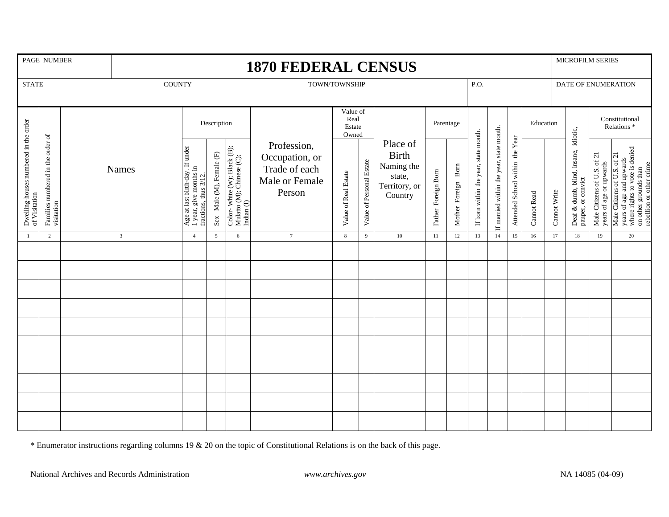| PAGE NUMBER                                            |                                                 |                | <b>1870 FEDERAL CENSUS</b> |               |                                                                                       |                          |                                                                        |                                                                            |                                     |                      |                          |                                                                              |                        |                       |                                       |                                          |                                 |             | MICROFILM SERIES |                                                            |                                                        |                                                                                                                                               |
|--------------------------------------------------------|-------------------------------------------------|----------------|----------------------------|---------------|---------------------------------------------------------------------------------------|--------------------------|------------------------------------------------------------------------|----------------------------------------------------------------------------|-------------------------------------|----------------------|--------------------------|------------------------------------------------------------------------------|------------------------|-----------------------|---------------------------------------|------------------------------------------|---------------------------------|-------------|------------------|------------------------------------------------------------|--------------------------------------------------------|-----------------------------------------------------------------------------------------------------------------------------------------------|
| <b>STATE</b>                                           |                                                 |                |                            | <b>COUNTY</b> |                                                                                       |                          |                                                                        | TOWN/TOWNSHIP                                                              |                                     |                      |                          |                                                                              |                        |                       | P.O.                                  |                                          |                                 |             |                  | DATE OF ENUMERATION                                        |                                                        |                                                                                                                                               |
| Dwelling-houses numbered in the order<br>of Visitation | Families numbered in the order of<br>visitation | <b>Names</b>   |                            |               | Description                                                                           |                          |                                                                        |                                                                            | Value of<br>Real<br>Estate<br>Owned |                      |                          |                                                                              | Parentage              |                       |                                       |                                          | Education                       |             |                  | Constitutional<br>Relations <sup>*</sup>                   |                                                        |                                                                                                                                               |
|                                                        |                                                 |                |                            |               | Age at last birth-day. If under<br>1 year, give months in<br>fractions, thus $3/12$ . | Sex-Male (M), Female (F) | Color-White (W); Black (B);<br>Mulatto (M); Chinese (C);<br>Indian (I) | Profession,<br>Occupation, or<br>Trade of each<br>Male or Female<br>Person |                                     | Value of Real Estate | Value of Personal Estate | Place of<br><b>Birth</b><br>Naming the<br>state,<br>Territory, or<br>Country | Foreign Born<br>Father | Bom<br>Mother Foreign | If born within the year, state month. | If married within the year, state month. | Attended School within the Year | Cannot Read | Cannot Write     | Deaf & dumb, blind, insane, idiotic,<br>pauper, or convict | Male Citizens of U.S. of 21<br>years of age or upwards | years of age and upwards<br>where rights to vote is denied<br>on other grounds than<br>rebellion or other crime<br>Male Citizens of U.S. of 2 |
| $\overline{1}$                                         | 2                                               | $\overline{3}$ |                            |               | $\overline{4}$                                                                        | $5\overline{5}$          | 6                                                                      | $\tau$                                                                     |                                     | 8                    | 9                        | 10                                                                           | 11                     | 12                    | 13                                    | 14                                       | 15                              | 16          | 17               | 18                                                         | 19                                                     | 20                                                                                                                                            |
|                                                        |                                                 |                |                            |               |                                                                                       |                          |                                                                        |                                                                            |                                     |                      |                          |                                                                              |                        |                       |                                       |                                          |                                 |             |                  |                                                            |                                                        |                                                                                                                                               |
|                                                        |                                                 |                |                            |               |                                                                                       |                          |                                                                        |                                                                            |                                     |                      |                          |                                                                              |                        |                       |                                       |                                          |                                 |             |                  |                                                            |                                                        |                                                                                                                                               |
|                                                        |                                                 |                |                            |               |                                                                                       |                          |                                                                        |                                                                            |                                     |                      |                          |                                                                              |                        |                       |                                       |                                          |                                 |             |                  |                                                            |                                                        |                                                                                                                                               |
|                                                        |                                                 |                |                            |               |                                                                                       |                          |                                                                        |                                                                            |                                     |                      |                          |                                                                              |                        |                       |                                       |                                          |                                 |             |                  |                                                            |                                                        |                                                                                                                                               |
|                                                        |                                                 |                |                            |               |                                                                                       |                          |                                                                        |                                                                            |                                     |                      |                          |                                                                              |                        |                       |                                       |                                          |                                 |             |                  |                                                            |                                                        |                                                                                                                                               |
|                                                        |                                                 |                |                            |               |                                                                                       |                          |                                                                        |                                                                            |                                     |                      |                          |                                                                              |                        |                       |                                       |                                          |                                 |             |                  |                                                            |                                                        |                                                                                                                                               |
|                                                        |                                                 |                |                            |               |                                                                                       |                          |                                                                        |                                                                            |                                     |                      |                          |                                                                              |                        |                       |                                       |                                          |                                 |             |                  |                                                            |                                                        |                                                                                                                                               |
|                                                        |                                                 |                |                            |               |                                                                                       |                          |                                                                        |                                                                            |                                     |                      |                          |                                                                              |                        |                       |                                       |                                          |                                 |             |                  |                                                            |                                                        |                                                                                                                                               |
|                                                        |                                                 |                |                            |               |                                                                                       |                          |                                                                        |                                                                            |                                     |                      |                          |                                                                              |                        |                       |                                       |                                          |                                 |             |                  |                                                            |                                                        |                                                                                                                                               |
|                                                        |                                                 |                |                            |               |                                                                                       |                          |                                                                        |                                                                            |                                     |                      |                          |                                                                              |                        |                       |                                       |                                          |                                 |             |                  |                                                            |                                                        |                                                                                                                                               |

\* Enumerator instructions regarding columns 19 & 20 on the topic of Constitutional Relations is on the back of this page.